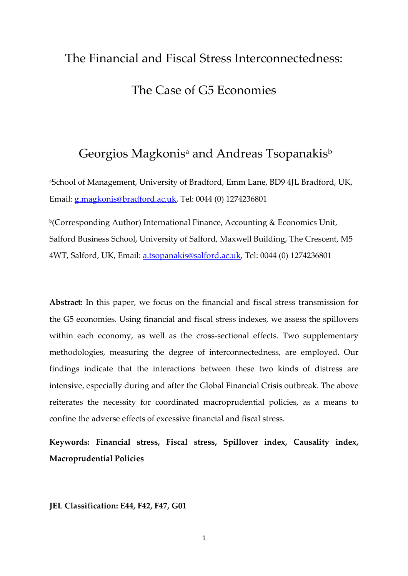# The Financial and Fiscal Stress Interconnectedness: The Case of G5 Economies

## Georgios Magkonis<sup>a</sup> and Andreas Tsopanakis<sup>b</sup>

a School of Management, University of Bradford, Emm Lane, BD9 4JL Bradford, UK, Email: [g.magkonis@bradford.ac.uk,](mailto:g.magkonis@bradford.ac.uk) Tel: 0044 (0) 1274236801

b(Corresponding Author) International Finance, Accounting & Economics Unit, Salford Business School, University of Salford, Maxwell Building, The Crescent, M5 4WT, Salford, UK, Email: [a.tsopanakis@salford.ac.uk,](mailto:a.tsopanakis@salford.ac.uk) Tel: 0044 (0) 1274236801

**Abstract:** In this paper, we focus on the financial and fiscal stress transmission for the G5 economies. Using financial and fiscal stress indexes, we assess the spillovers within each economy, as well as the cross-sectional effects. Two supplementary methodologies, measuring the degree of interconnectedness, are employed. Our findings indicate that the interactions between these two kinds of distress are intensive, especially during and after the Global Financial Crisis outbreak. The above reiterates the necessity for coordinated macroprudential policies, as a means to confine the adverse effects of excessive financial and fiscal stress.

**Keywords: Financial stress, Fiscal stress, Spillover index, Causality index, Macroprudential Policies**

**JEL Classification: E44, F42, F47, G01**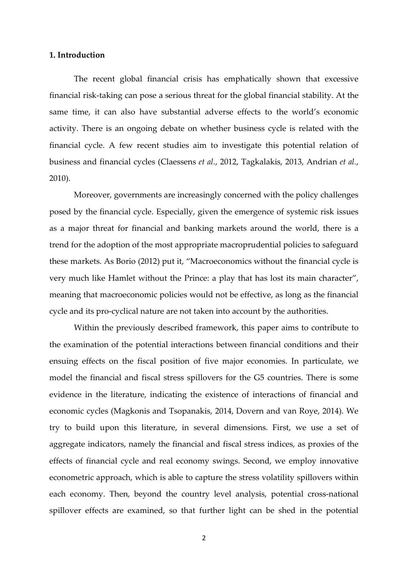#### **1. Introduction**

The recent global financial crisis has emphatically shown that excessive financial risk-taking can pose a serious threat for the global financial stability. At the same time, it can also have substantial adverse effects to the world's economic activity. There is an ongoing debate on whether business cycle is related with the financial cycle. A few recent studies aim to investigate this potential relation of business and financial cycles (Claessens *et al.*, 2012, Tagkalakis, 2013, Andrian *et al.*, 2010).

Moreover, governments are increasingly concerned with the policy challenges posed by the financial cycle. Especially, given the emergence of systemic risk issues as a major threat for financial and banking markets around the world, there is a trend for the adoption of the most appropriate macroprudential policies to safeguard these markets. As Borio (2012) put it, "Macroeconomics without the financial cycle is very much like Hamlet without the Prince: a play that has lost its main character", meaning that macroeconomic policies would not be effective, as long as the financial cycle and its pro-cyclical nature are not taken into account by the authorities.

Within the previously described framework, this paper aims to contribute to the examination of the potential interactions between financial conditions and their ensuing effects on the fiscal position of five major economies. In particulate, we model the financial and fiscal stress spillovers for the G5 countries. There is some evidence in the literature, indicating the existence of interactions of financial and economic cycles (Magkonis and Tsopanakis, 2014, Dovern and van Roye, 2014). We try to build upon this literature, in several dimensions. First, we use a set of aggregate indicators, namely the financial and fiscal stress indices, as proxies of the effects of financial cycle and real economy swings. Second, we employ innovative econometric approach, which is able to capture the stress volatility spillovers within each economy. Then, beyond the country level analysis, potential cross-national spillover effects are examined, so that further light can be shed in the potential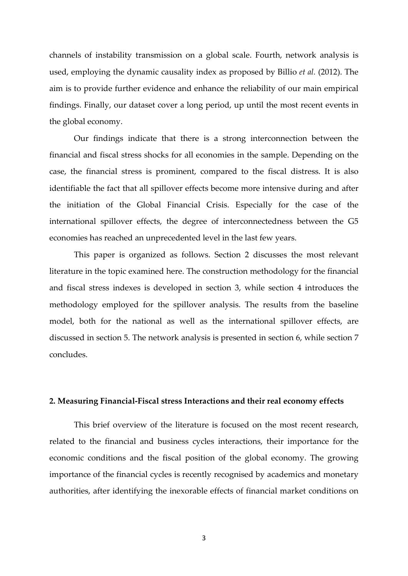channels of instability transmission on a global scale. Fourth, network analysis is used, employing the dynamic causality index as proposed by Billio *et al.* (2012). The aim is to provide further evidence and enhance the reliability of our main empirical findings. Finally, our dataset cover a long period, up until the most recent events in the global economy.

Our findings indicate that there is a strong interconnection between the financial and fiscal stress shocks for all economies in the sample. Depending on the case, the financial stress is prominent, compared to the fiscal distress. It is also identifiable the fact that all spillover effects become more intensive during and after the initiation of the Global Financial Crisis. Especially for the case of the international spillover effects, the degree of interconnectedness between the G5 economies has reached an unprecedented level in the last few years.

This paper is organized as follows. Section 2 discusses the most relevant literature in the topic examined here. The construction methodology for the financial and fiscal stress indexes is developed in section 3, while section 4 introduces the methodology employed for the spillover analysis. The results from the baseline model, both for the national as well as the international spillover effects, are discussed in section 5. The network analysis is presented in section 6, while section 7 concludes.

#### **2. Measuring Financial-Fiscal stress Interactions and their real economy effects**

This brief overview of the literature is focused on the most recent research, related to the financial and business cycles interactions, their importance for the economic conditions and the fiscal position of the global economy. The growing importance of the financial cycles is recently recognised by academics and monetary authorities, after identifying the inexorable effects of financial market conditions on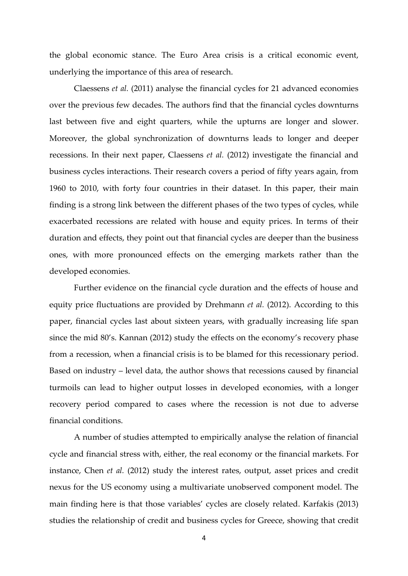the global economic stance. The Euro Area crisis is a critical economic event, underlying the importance of this area of research.

Claessens *et al.* (2011) analyse the financial cycles for 21 advanced economies over the previous few decades. The authors find that the financial cycles downturns last between five and eight quarters, while the upturns are longer and slower. Moreover, the global synchronization of downturns leads to longer and deeper recessions. In their next paper, Claessens *et al.* (2012) investigate the financial and business cycles interactions. Their research covers a period of fifty years again, from 1960 to 2010, with forty four countries in their dataset. In this paper, their main finding is a strong link between the different phases of the two types of cycles, while exacerbated recessions are related with house and equity prices. In terms of their duration and effects, they point out that financial cycles are deeper than the business ones, with more pronounced effects on the emerging markets rather than the developed economies.

Further evidence on the financial cycle duration and the effects of house and equity price fluctuations are provided by Drehmann *et al.* (2012). According to this paper, financial cycles last about sixteen years, with gradually increasing life span since the mid 80's. Kannan (2012) study the effects on the economy's recovery phase from a recession, when a financial crisis is to be blamed for this recessionary period. Based on industry – level data, the author shows that recessions caused by financial turmoils can lead to higher output losses in developed economies, with a longer recovery period compared to cases where the recession is not due to adverse financial conditions.

A number of studies attempted to empirically analyse the relation of financial cycle and financial stress with, either, the real economy or the financial markets. For instance, Chen *et al.* (2012) study the interest rates, output, asset prices and credit nexus for the US economy using a multivariate unobserved component model. The main finding here is that those variables' cycles are closely related. Karfakis (2013) studies the relationship of credit and business cycles for Greece, showing that credit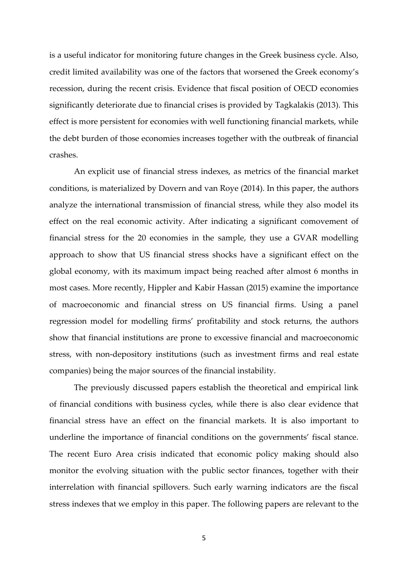is a useful indicator for monitoring future changes in the Greek business cycle. Also, credit limited availability was one of the factors that worsened the Greek economy's recession, during the recent crisis. Evidence that fiscal position of OECD economies significantly deteriorate due to financial crises is provided by Tagkalakis (2013). This effect is more persistent for economies with well functioning financial markets, while the debt burden of those economies increases together with the outbreak of financial crashes.

An explicit use of financial stress indexes, as metrics of the financial market conditions, is materialized by Dovern and van Roye (2014). In this paper, the authors analyze the international transmission of financial stress, while they also model its effect on the real economic activity. After indicating a significant comovement of financial stress for the 20 economies in the sample, they use a GVAR modelling approach to show that US financial stress shocks have a significant effect on the global economy, with its maximum impact being reached after almost 6 months in most cases. More recently, Hippler and Kabir Hassan (2015) examine the importance of macroeconomic and financial stress on US financial firms. Using a panel regression model for modelling firms' profitability and stock returns, the authors show that financial institutions are prone to excessive financial and macroeconomic stress, with non-depository institutions (such as investment firms and real estate companies) being the major sources of the financial instability.

The previously discussed papers establish the theoretical and empirical link of financial conditions with business cycles, while there is also clear evidence that financial stress have an effect on the financial markets. It is also important to underline the importance of financial conditions on the governments' fiscal stance. The recent Euro Area crisis indicated that economic policy making should also monitor the evolving situation with the public sector finances, together with their interrelation with financial spillovers. Such early warning indicators are the fiscal stress indexes that we employ in this paper. The following papers are relevant to the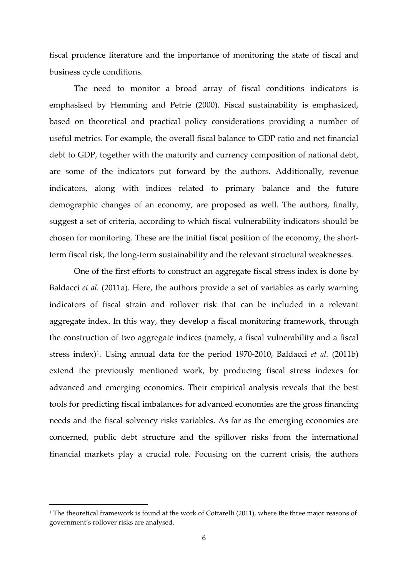fiscal prudence literature and the importance of monitoring the state of fiscal and business cycle conditions.

The need to monitor a broad array of fiscal conditions indicators is emphasised by Hemming and Petrie (2000). Fiscal sustainability is emphasized, based on theoretical and practical policy considerations providing a number of useful metrics. For example, the overall fiscal balance to GDP ratio and net financial debt to GDP, together with the maturity and currency composition of national debt, are some of the indicators put forward by the authors. Additionally, revenue indicators, along with indices related to primary balance and the future demographic changes of an economy, are proposed as well. The authors, finally, suggest a set of criteria, according to which fiscal vulnerability indicators should be chosen for monitoring. These are the initial fiscal position of the economy, the shortterm fiscal risk, the long-term sustainability and the relevant structural weaknesses.

One of the first efforts to construct an aggregate fiscal stress index is done by Baldacci *et al.* (2011a). Here, the authors provide a set of variables as early warning indicators of fiscal strain and rollover risk that can be included in a relevant aggregate index. In this way, they develop a fiscal monitoring framework, through the construction of two aggregate indices (namely, a fiscal vulnerability and a fiscal stress index)[1.](#page-5-0) Using annual data for the period 1970-2010, Baldacci *et al.* (2011b) extend the previously mentioned work, by producing fiscal stress indexes for advanced and emerging economies. Their empirical analysis reveals that the best tools for predicting fiscal imbalances for advanced economies are the gross financing needs and the fiscal solvency risks variables. As far as the emerging economies are concerned, public debt structure and the spillover risks from the international financial markets play a crucial role. Focusing on the current crisis, the authors

1

<span id="page-5-0"></span><sup>&</sup>lt;sup>1</sup> The theoretical framework is found at the work of Cottarelli (2011), where the three major reasons of government's rollover risks are analysed.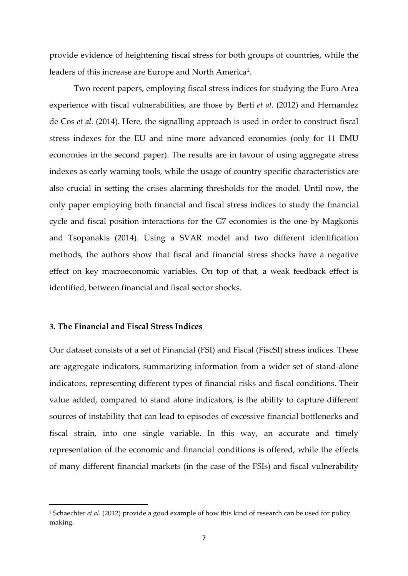provide evidence of heightening fiscal stress for both groups of countries, while the leaders of this increase are Europe and North America<sup>[2](#page-6-0)</sup>.

Two recent papers, employing fiscal stress indices for studying the Euro Area experience with fiscal vulnerabilities, are those by Berti *et al.* (2012) and Hernandez de Cos *et al.* (2014). Here, the signalling approach is used in order to construct fiscal stress indexes for the EU and nine more advanced economies (only for 11 EMU economies in the second paper). The results are in favour of using aggregate stress indexes as early warning tools, while the usage of country specific characteristics are also crucial in setting the crises alarming thresholds for the model. Until now, the only paper employing both financial and fiscal stress indices to study the financial cycle and fiscal position interactions for the G7 economies is the one by Magkonis and Tsopanakis (2014). Using a SVAR model and two different identification methods, the authors show that fiscal and financial stress shocks have a negative effect on key macroeconomic variables. On top of that, a weak feedback effect is identified, between financial and fiscal sector shocks.

#### **3. The Financial and Fiscal Stress Indices**

1

Our dataset consists of a set of Financial (FSI) and Fiscal (FiscSI) stress indices. These are aggregate indicators, summarizing information from a wider set of stand-alone indicators, representing different types of financial risks and fiscal conditions. Their value added, compared to stand alone indicators, is the ability to capture different sources of instability that can lead to episodes of excessive financial bottlenecks and fiscal strain, into one single variable. In this way, an accurate and timely representation of the economic and financial conditions is offered, while the effects of many different financial markets (in the case of the FSIs) and fiscal vulnerability

<span id="page-6-0"></span><sup>2</sup> Schaechter *et al.* (2012) provide a good example of how this kind of research can be used for policy making.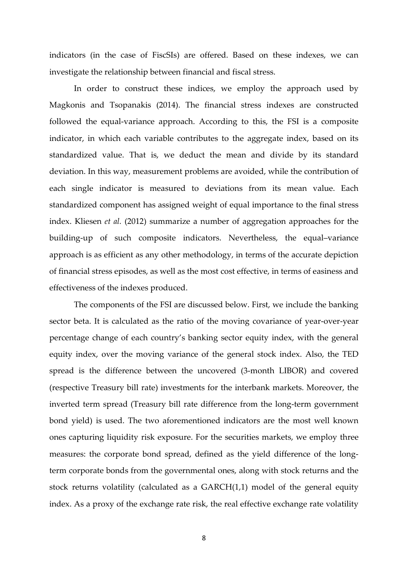indicators (in the case of FiscSIs) are offered. Based on these indexes, we can investigate the relationship between financial and fiscal stress.

In order to construct these indices, we employ the approach used by Magkonis and Tsopanakis (2014). The financial stress indexes are constructed followed the equal-variance approach. According to this, the FSI is a composite indicator, in which each variable contributes to the aggregate index, based on its standardized value. That is, we deduct the mean and divide by its standard deviation. In this way, measurement problems are avoided, while the contribution of each single indicator is measured to deviations from its mean value. Each standardized component has assigned weight of equal importance to the final stress index. Kliesen *et al.* (2012) summarize a number of aggregation approaches for the building-up of such composite indicators. Nevertheless, the equal–variance approach is as efficient as any other methodology, in terms of the accurate depiction of financial stress episodes, as well as the most cost effective, in terms of easiness and effectiveness of the indexes produced.

The components of the FSI are discussed below. First, we include the banking sector beta. It is calculated as the ratio of the moving covariance of year-over-year percentage change of each country's banking sector equity index, with the general equity index, over the moving variance of the general stock index. Also, the TED spread is the difference between the uncovered (3-month LIBOR) and covered (respective Treasury bill rate) investments for the interbank markets. Moreover, the inverted term spread (Treasury bill rate difference from the long-term government bond yield) is used. The two aforementioned indicators are the most well known ones capturing liquidity risk exposure. For the securities markets, we employ three measures: the corporate bond spread, defined as the yield difference of the longterm corporate bonds from the governmental ones, along with stock returns and the stock returns volatility (calculated as a GARCH(1,1) model of the general equity index. As a proxy of the exchange rate risk, the real effective exchange rate volatility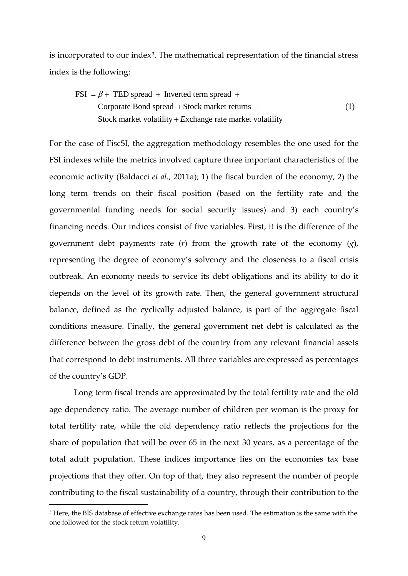is incorporated to our index<sup>[3](#page-8-0)</sup>. The mathematical representation of the financial stress index is the following:

 $\text{FSI} = \beta + \text{TED spread} + \text{Inverted term spread} + \text{I}$ Corporate Bond spread  $+$  Stock market returns  $+$ Stock market volatility + Exchange rate market volatility (1)

For the case of FiscSI, the aggregation methodology resembles the one used for the FSI indexes while the metrics involved capture three important characteristics of the economic activity (Baldacci *et al.*, 2011a); 1) the fiscal burden of the economy, 2) the long term trends on their fiscal position (based on the fertility rate and the governmental funding needs for social security issues) and 3) each country's financing needs. Our indices consist of five variables. First, it is the difference of the government debt payments rate (*r*) from the growth rate of the economy (*g*), representing the degree of economy's solvency and the closeness to a fiscal crisis outbreak. An economy needs to service its debt obligations and its ability to do it depends on the level of its growth rate. Then, the general government structural balance, defined as the cyclically adjusted balance, is part of the aggregate fiscal conditions measure. Finally, the general government net debt is calculated as the difference between the gross debt of the country from any relevant financial assets that correspond to debt instruments. All three variables are expressed as percentages of the country's GDP.

Long term fiscal trends are approximated by the total fertility rate and the old age dependency ratio. The average number of children per woman is the proxy for total fertility rate, while the old dependency ratio reflects the projections for the share of population that will be over 65 in the next 30 years, as a percentage of the total adult population. These indices importance lies on the economies tax base projections that they offer. On top of that, they also represent the number of people contributing to the fiscal sustainability of a country, through their contribution to the

1

<span id="page-8-0"></span><sup>&</sup>lt;sup>3</sup> Here, the BIS database of effective exchange rates has been used. The estimation is the same with the one followed for the stock return volatility.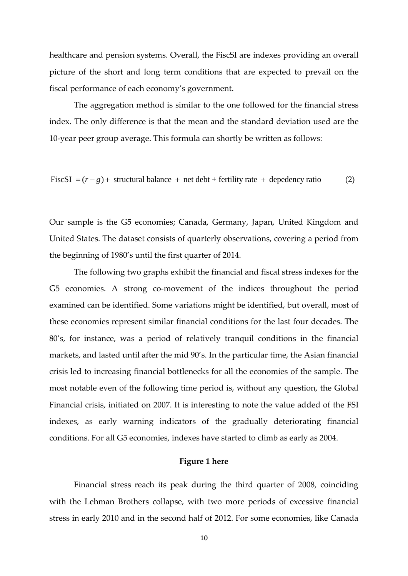healthcare and pension systems. Overall, the FiscSI are indexes providing an overall picture of the short and long term conditions that are expected to prevail on the fiscal performance of each economy's government.

The aggregation method is similar to the one followed for the financial stress index. The only difference is that the mean and the standard deviation used are the 10-year peer group average. This formula can shortly be written as follows:

FiscSI  $=(r-g)$  + structural balance + net debt + fertility rate + depedency ratio (2)

Our sample is the G5 economies; Canada, Germany, Japan, United Kingdom and United States. The dataset consists of quarterly observations, covering a period from the beginning of 1980's until the first quarter of 2014.

The following two graphs exhibit the financial and fiscal stress indexes for the G5 economies. A strong co-movement of the indices throughout the period examined can be identified. Some variations might be identified, but overall, most of these economies represent similar financial conditions for the last four decades. The 80's, for instance, was a period of relatively tranquil conditions in the financial markets, and lasted until after the mid 90's. In the particular time, the Asian financial crisis led to increasing financial bottlenecks for all the economies of the sample. The most notable even of the following time period is, without any question, the Global Financial crisis, initiated on 2007. It is interesting to note the value added of the FSI indexes, as early warning indicators of the gradually deteriorating financial conditions. For all G5 economies, indexes have started to climb as early as 2004.

#### **Figure 1 here**

Financial stress reach its peak during the third quarter of 2008, coinciding with the Lehman Brothers collapse, with two more periods of excessive financial stress in early 2010 and in the second half of 2012. For some economies, like Canada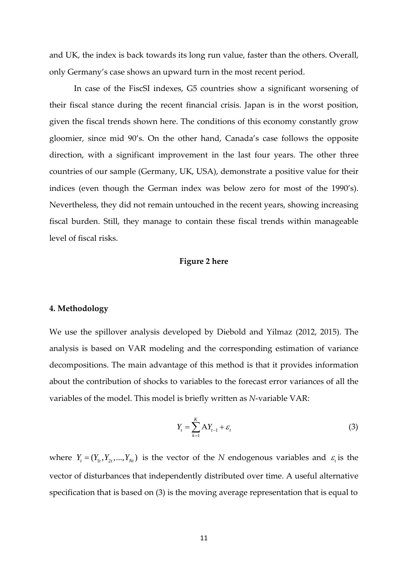and UK, the index is back towards its long run value, faster than the others. Overall, only Germany's case shows an upward turn in the most recent period.

In case of the FiscSI indexes, G5 countries show a significant worsening of their fiscal stance during the recent financial crisis. Japan is in the worst position, given the fiscal trends shown here. The conditions of this economy constantly grow gloomier, since mid 90's. On the other hand, Canada's case follows the opposite direction, with a significant improvement in the last four years. The other three countries of our sample (Germany, UK, USA), demonstrate a positive value for their indices (even though the German index was below zero for most of the 1990's). Nevertheless, they did not remain untouched in the recent years, showing increasing fiscal burden. Still, they manage to contain these fiscal trends within manageable level of fiscal risks.

#### **Figure 2 here**

#### **4. Methodology**

We use the spillover analysis developed by Diebold and Yilmaz (2012, 2015). The analysis is based on VAR modeling and the corresponding estimation of variance decompositions. The main advantage of this method is that it provides information about the contribution of shocks to variables to the forecast error variances of all the variables of the model. This model is briefly written as *N*-variable VAR:

$$
Y_t = \sum_{k=1}^K A Y_{t-1} + \varepsilon_t \tag{3}
$$

where  $Y_t = (Y_{1t}, Y_{2t}, ..., Y_{Nt})$  is the vector of the *N* endogenous variables and  $\varepsilon_t$  is the vector of disturbances that independently distributed over time. A useful alternative specification that is based on (3) is the moving average representation that is equal to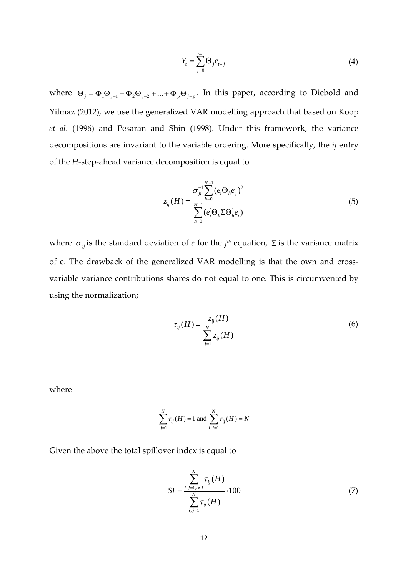$$
Y_t = \sum_{j=0}^{\infty} \Theta_j e_{t-j} \tag{4}
$$

where  $\Theta_j = \Phi_1 \Theta_{j-1} + \Phi_2 \Theta_{j-2} + ... + \Phi_p \Theta_{j-p}$ . In this paper, according to Diebold and Yilmaz (2012), we use the generalized VAR modelling approach that based on Koop *et al*. (1996) and Pesaran and Shin (1998). Under this framework, the variance decompositions are invariant to the variable ordering. More specifically, the *ij* entry of the *H*-step-ahead variance decomposition is equal to

$$
z_{ij}(H) = \frac{\sigma_{jj}^{-1} \sum_{h=0}^{H-1} (e_i \Theta_h e_j)^2}{\sum_{h=0}^{H-1} (e_i \Theta_h \Sigma \Theta_h' e_i)}
$$
(5)

where  $\sigma_{ij}$  is the standard deviation of *e* for the *j<sup>th</sup>* equation,  $\Sigma$  is the variance matrix of e. The drawback of the generalized VAR modelling is that the own and crossvariable variance contributions shares do not equal to one. This is circumvented by using the normalization;

$$
\tau_{ij}(H) = \frac{z_{ij}(H)}{\sum_{j=1}^{N} z_{ij}(H)}
$$
\n(6)

where

$$
\sum_{j=1}^{N} \tau_{ij}(H) = 1 \text{ and } \sum_{i,j=1}^{N} \tau_{ij}(H) = N
$$

Given the above the total spillover index is equal to

$$
SI = \frac{\sum_{i,j=1,i\neq j}^{N} \tau_{ij}(H)}{\sum_{i,j=1}^{N} \tau_{ij}(H)} \cdot 100
$$
 (7)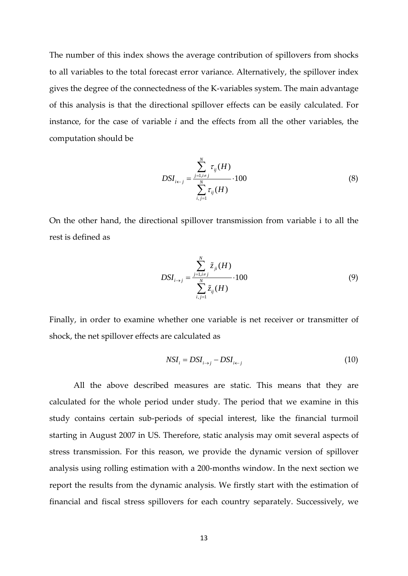The number of this index shows the average contribution of spillovers from shocks to all variables to the total forecast error variance. Alternatively, the spillover index gives the degree of the connectedness of the K-variables system. The main advantage of this analysis is that the directional spillover effects can be easily calculated. For instance, for the case of variable *i* and the effects from all the other variables, the computation should be

$$
DSI_{i \leftarrow j} = \frac{\sum_{j=1, i \neq j}^{N} \tau_{ij}(H)}{\sum_{i,j=1}^{N} \tau_{ij}(H)} \cdot 100
$$
\n(8)

On the other hand, the directional spillover transmission from variable i to all the rest is defined as

$$
DSI_{i \to j} = \frac{\sum_{j=1, i \neq j}^{N} \tilde{z}_{ji}(H)}{\sum_{i,j=1}^{N} \tilde{z}_{ij}(H)} \cdot 100
$$
\n(9)

Finally, in order to examine whether one variable is net receiver or transmitter of shock, the net spillover effects are calculated as

$$
NSI_i = DSI_{i \to j} - DSI_{i \gets j}
$$
\n
$$
(10)
$$

All the above described measures are static. This means that they are calculated for the whole period under study. The period that we examine in this study contains certain sub-periods of special interest, like the financial turmoil starting in August 2007 in US. Therefore, static analysis may omit several aspects of stress transmission. For this reason, we provide the dynamic version of spillover analysis using rolling estimation with a 200-months window. In the next section we report the results from the dynamic analysis. We firstly start with the estimation of financial and fiscal stress spillovers for each country separately. Successively, we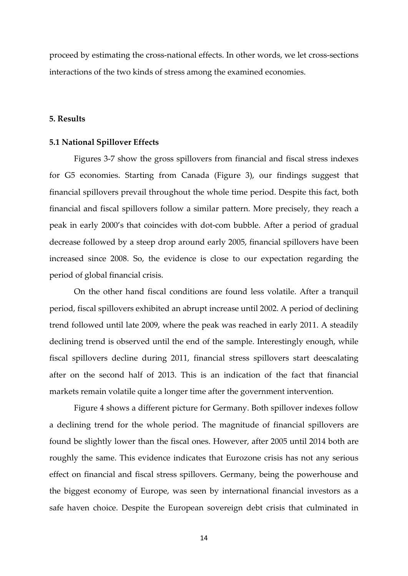proceed by estimating the cross-national effects. In other words, we let cross-sections interactions of the two kinds of stress among the examined economies.

#### **5. Results**

#### **5.1 National Spillover Effects**

Figures 3-7 show the gross spillovers from financial and fiscal stress indexes for G5 economies. Starting from Canada (Figure 3), our findings suggest that financial spillovers prevail throughout the whole time period. Despite this fact, both financial and fiscal spillovers follow a similar pattern. More precisely, they reach a peak in early 2000's that coincides with dot-com bubble. After a period of gradual decrease followed by a steep drop around early 2005, financial spillovers have been increased since 2008. So, the evidence is close to our expectation regarding the period of global financial crisis.

On the other hand fiscal conditions are found less volatile. After a tranquil period, fiscal spillovers exhibited an abrupt increase until 2002. A period of declining trend followed until late 2009, where the peak was reached in early 2011. A steadily declining trend is observed until the end of the sample. Interestingly enough, while fiscal spillovers decline during 2011, financial stress spillovers start deescalating after on the second half of 2013. This is an indication of the fact that financial markets remain volatile quite a longer time after the government intervention.

Figure 4 shows a different picture for Germany. Both spillover indexes follow a declining trend for the whole period. The magnitude of financial spillovers are found be slightly lower than the fiscal ones. However, after 2005 until 2014 both are roughly the same. This evidence indicates that Eurozone crisis has not any serious effect on financial and fiscal stress spillovers. Germany, being the powerhouse and the biggest economy of Europe, was seen by international financial investors as a safe haven choice. Despite the European sovereign debt crisis that culminated in

14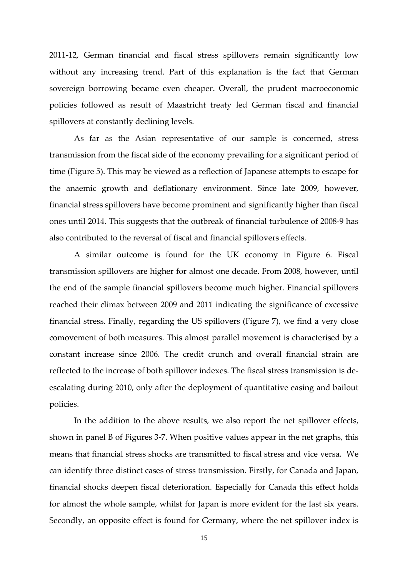2011-12, German financial and fiscal stress spillovers remain significantly low without any increasing trend. Part of this explanation is the fact that German sovereign borrowing became even cheaper. Overall, the prudent macroeconomic policies followed as result of Maastricht treaty led German fiscal and financial spillovers at constantly declining levels.

As far as the Asian representative of our sample is concerned, stress transmission from the fiscal side of the economy prevailing for a significant period of time (Figure 5). This may be viewed as a reflection of Japanese attempts to escape for the anaemic growth and deflationary environment. Since late 2009, however, financial stress spillovers have become prominent and significantly higher than fiscal ones until 2014. This suggests that the outbreak of financial turbulence of 2008-9 has also contributed to the reversal of fiscal and financial spillovers effects.

A similar outcome is found for the UK economy in Figure 6. Fiscal transmission spillovers are higher for almost one decade. From 2008, however, until the end of the sample financial spillovers become much higher. Financial spillovers reached their climax between 2009 and 2011 indicating the significance of excessive financial stress. Finally, regarding the US spillovers (Figure 7), we find a very close comovement of both measures. This almost parallel movement is characterised by a constant increase since 2006. The credit crunch and overall financial strain are reflected to the increase of both spillover indexes. The fiscal stress transmission is deescalating during 2010, only after the deployment of quantitative easing and bailout policies.

In the addition to the above results, we also report the net spillover effects, shown in panel B of Figures 3-7. When positive values appear in the net graphs, this means that financial stress shocks are transmitted to fiscal stress and vice versa. We can identify three distinct cases of stress transmission. Firstly, for Canada and Japan, financial shocks deepen fiscal deterioration. Especially for Canada this effect holds for almost the whole sample, whilst for Japan is more evident for the last six years. Secondly, an opposite effect is found for Germany, where the net spillover index is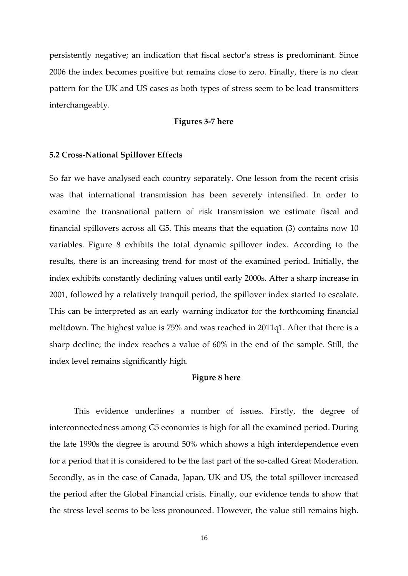persistently negative; an indication that fiscal sector's stress is predominant. Since 2006 the index becomes positive but remains close to zero. Finally, there is no clear pattern for the UK and US cases as both types of stress seem to be lead transmitters interchangeably.

#### **Figures 3-7 here**

#### **5.2 Cross-National Spillover Effects**

So far we have analysed each country separately. One lesson from the recent crisis was that international transmission has been severely intensified. In order to examine the transnational pattern of risk transmission we estimate fiscal and financial spillovers across all G5. This means that the equation (3) contains now 10 variables. Figure 8 exhibits the total dynamic spillover index. According to the results, there is an increasing trend for most of the examined period. Initially, the index exhibits constantly declining values until early 2000s. After a sharp increase in 2001, followed by a relatively tranquil period, the spillover index started to escalate. This can be interpreted as an early warning indicator for the forthcoming financial meltdown. The highest value is 75% and was reached in 2011q1. After that there is a sharp decline; the index reaches a value of 60% in the end of the sample. Still, the index level remains significantly high.

#### **Figure 8 here**

This evidence underlines a number of issues. Firstly, the degree of interconnectedness among G5 economies is high for all the examined period. During the late 1990s the degree is around 50% which shows a high interdependence even for a period that it is considered to be the last part of the so-called Great Moderation. Secondly, as in the case of Canada, Japan, UK and US, the total spillover increased the period after the Global Financial crisis. Finally, our evidence tends to show that the stress level seems to be less pronounced. However, the value still remains high.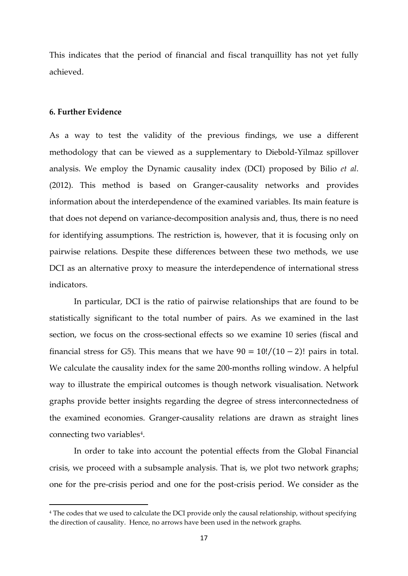This indicates that the period of financial and fiscal tranquillity has not yet fully achieved.

#### **6. Further Evidence**

1

As a way to test the validity of the previous findings, we use a different methodology that can be viewed as a supplementary to Diebold-Yilmaz spillover analysis. We employ the Dynamic causality index (DCI) proposed by Bilio *et al*. (2012). This method is based on Granger-causality networks and provides information about the interdependence of the examined variables. Its main feature is that does not depend on variance-decomposition analysis and, thus, there is no need for identifying assumptions. The restriction is, however, that it is focusing only on pairwise relations. Despite these differences between these two methods, we use DCI as an alternative proxy to measure the interdependence of international stress indicators.

In particular, DCI is the ratio of pairwise relationships that are found to be statistically significant to the total number of pairs. As we examined in the last section, we focus on the cross-sectional effects so we examine 10 series (fiscal and financial stress for G5). This means that we have  $90 = 10!/(10 - 2)!$  pairs in total. We calculate the causality index for the same 200-months rolling window. A helpful way to illustrate the empirical outcomes is though network visualisation. Network graphs provide better insights regarding the degree of stress interconnectedness of the examined economies. Granger-causality relations are drawn as straight lines connecting two variables<sup>[4](#page-16-0)</sup>.

In order to take into account the potential effects from the Global Financial crisis, we proceed with a subsample analysis. That is, we plot two network graphs; one for the pre-crisis period and one for the post-crisis period. We consider as the

<span id="page-16-0"></span><sup>4</sup> The codes that we used to calculate the DCI provide only the causal relationship, without specifying the direction of causality. Hence, no arrows have been used in the network graphs.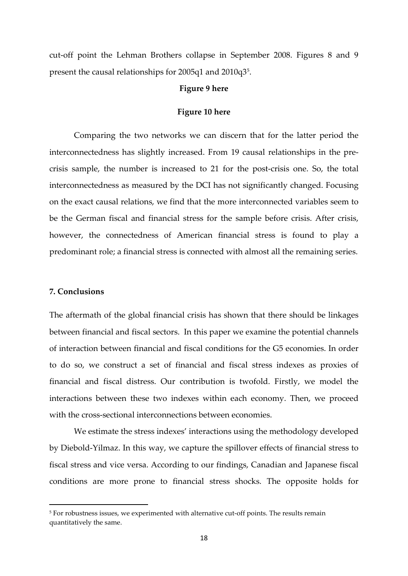cut-off point the Lehman Brothers collapse in September 2008. Figures 8 and 9 present the causal relationships for 200[5](#page-17-0)q1 and 2010q3<sup>5</sup>.

#### **Figure 9 here**

#### **Figure 10 here**

Comparing the two networks we can discern that for the latter period the interconnectedness has slightly increased. From 19 causal relationships in the precrisis sample, the number is increased to 21 for the post-crisis one. So, the total interconnectedness as measured by the DCI has not significantly changed. Focusing on the exact causal relations, we find that the more interconnected variables seem to be the German fiscal and financial stress for the sample before crisis. After crisis, however, the connectedness of American financial stress is found to play a predominant role; a financial stress is connected with almost all the remaining series.

#### **7. Conclusions**

1

The aftermath of the global financial crisis has shown that there should be linkages between financial and fiscal sectors. In this paper we examine the potential channels of interaction between financial and fiscal conditions for the G5 economies. In order to do so, we construct a set of financial and fiscal stress indexes as proxies of financial and fiscal distress. Our contribution is twofold. Firstly, we model the interactions between these two indexes within each economy. Then, we proceed with the cross-sectional interconnections between economies.

We estimate the stress indexes' interactions using the methodology developed by Diebold-Yilmaz. In this way, we capture the spillover effects of financial stress to fiscal stress and vice versa. According to our findings, Canadian and Japanese fiscal conditions are more prone to financial stress shocks. The opposite holds for

<span id="page-17-0"></span><sup>&</sup>lt;sup>5</sup> For robustness issues, we experimented with alternative cut-off points. The results remain quantitatively the same.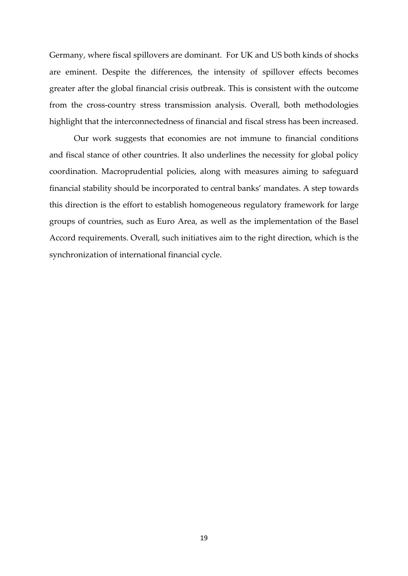Germany, where fiscal spillovers are dominant. For UK and US both kinds of shocks are eminent. Despite the differences, the intensity of spillover effects becomes greater after the global financial crisis outbreak. This is consistent with the outcome from the cross-country stress transmission analysis. Overall, both methodologies highlight that the interconnectedness of financial and fiscal stress has been increased.

Our work suggests that economies are not immune to financial conditions and fiscal stance of other countries. It also underlines the necessity for global policy coordination. Macroprudential policies, along with measures aiming to safeguard financial stability should be incorporated to central banks' mandates. A step towards this direction is the effort to establish homogeneous regulatory framework for large groups of countries, such as Euro Area, as well as the implementation of the Basel Accord requirements. Overall, such initiatives aim to the right direction, which is the synchronization of international financial cycle.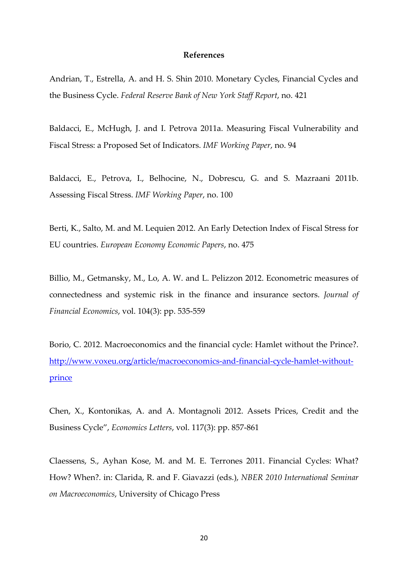#### **References**

Andrian, T., Estrella, A. and H. S. Shin 2010. Monetary Cycles, Financial Cycles and the Business Cycle. *Federal Reserve Bank of New York Staff Report*, no. 421

Baldacci, E., McHugh, J. and I. Petrova 2011a. Measuring Fiscal Vulnerability and Fiscal Stress: a Proposed Set of Indicators. *IMF Working Paper*, no. 94

Baldacci, E., Petrova, I., Belhocine, N., Dobrescu, G. and S. Mazraani 2011b. Assessing Fiscal Stress. *IMF Working Paper*, no. 100

Berti, K., Salto, M. and M. Lequien 2012. An Early Detection Index of Fiscal Stress for EU countries. *European Economy Economic Papers*, no. 475

Billio, M., Getmansky, M., Lo, A. W. and L. Pelizzon 2012. Econometric measures of connectedness and systemic risk in the finance and insurance sectors. *Journal of Financial Economics*, vol. 104(3): pp. 535-559

Borio, C. 2012. Macroeconomics and the financial cycle: Hamlet without the Prince?. [http://www.voxeu.org/article/macroeconomics-and-financial-cycle-hamlet-without](http://www.voxeu.org/article/macroeconomics-and-financial-cycle-hamlet-without-prince)[prince](http://www.voxeu.org/article/macroeconomics-and-financial-cycle-hamlet-without-prince)

Chen, X., Kontonikas, A. and A. Montagnoli 2012. Assets Prices, Credit and the Business Cycle", *Economics Letters*, vol. 117(3): pp. 857-861

Claessens, S., Ayhan Kose, M. and M. E. Terrones 2011. Financial Cycles: What? How? When?. in: Clarida, R. and F. Giavazzi (eds.), *NBER 2010 International Seminar on Macroeconomics*, University of Chicago Press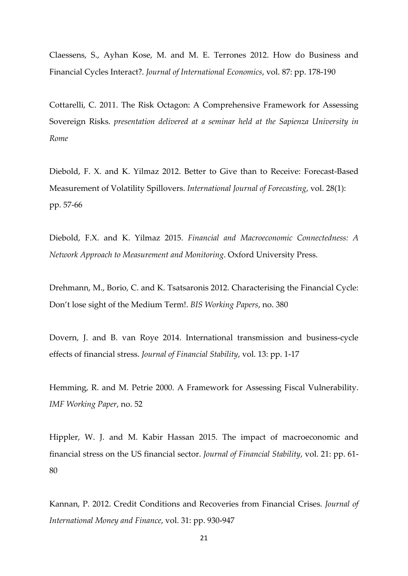Claessens, S., Ayhan Kose, M. and M. E. Terrones 2012. How do Business and Financial Cycles Interact?. *Journal of International Economics*, vol. 87: pp. 178-190

Cottarelli, C. 2011. The Risk Octagon: A Comprehensive Framework for Assessing Sovereign Risks. *presentation delivered at a seminar held at the Sapienza University in Rome*

Diebold, F. X. and K. Yilmaz 2012. Better to Give than to Receive: Forecast-Based Measurement of Volatility Spillovers. *International Journal of Forecasting*, vol. 28(1): pp. 57-66

Diebold, F.X. and K. Yilmaz 2015. *Financial and Macroeconomic Connectedness: A Network Approach to Measurement and Monitoring*. Oxford University Press.

Drehmann, M., Borio, C. and K. Tsatsaronis 2012. Characterising the Financial Cycle: Don't lose sight of the Medium Term!. *BIS Working Papers*, no. 380

Dovern, J. and B. van Roye 2014. International transmission and business-cycle effects of financial stress. *Journal of Financial Stability*, vol. 13: pp. 1-17

Hemming, R. and M. Petrie 2000. A Framework for Assessing Fiscal Vulnerability. *IMF Working Paper*, no. 52

Hippler, W. J. and M. Kabir Hassan 2015. The impact of macroeconomic and financial stress on the US financial sector. *Journal of Financial Stability*, vol. 21: pp. 61- 80

Kannan, P. 2012. Credit Conditions and Recoveries from Financial Crises. *Journal of International Money and Finance*, vol. 31: pp. 930-947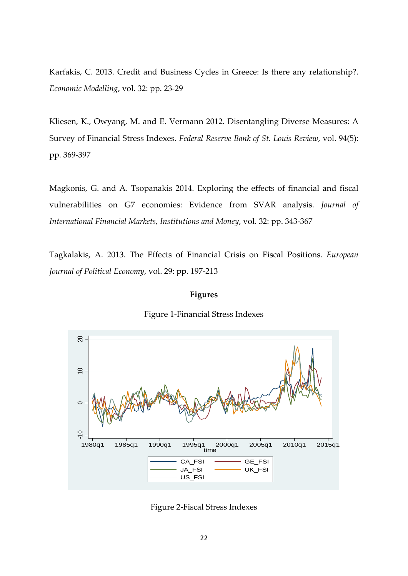Karfakis, C. 2013. Credit and Business Cycles in Greece: Is there any relationship?. *Economic Modelling*, vol. 32: pp. 23-29

Kliesen, K., Owyang, M. and E. Vermann 2012. Disentangling Diverse Measures: A Survey of Financial Stress Indexes. *Federal Reserve Bank of St. Louis Review*, vol. 94(5): pp. 369-397

Magkonis, G. and A. Tsopanakis 2014. Exploring the effects of financial and fiscal vulnerabilities on G7 economies: Evidence from SVAR analysis. *Journal of International Financial Markets, Institutions and Money*, vol. 32: pp. 343-367

Tagkalakis, A. 2013. The Effects of Financial Crisis on Fiscal Positions. *European Journal of Political Economy*, vol. 29: pp. 197-213

#### **Figures**





Figure 2-Fiscal Stress Indexes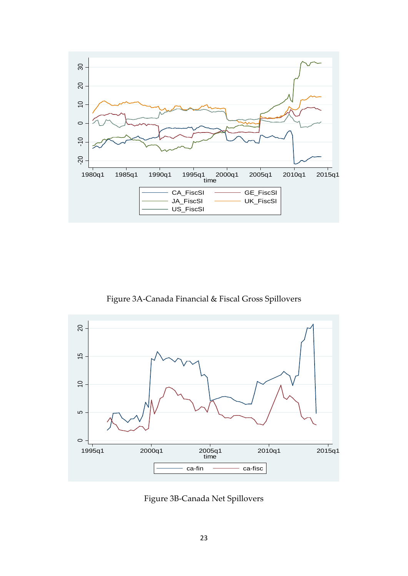

Figure 3A-Canada Financial & Fiscal Gross Spillovers



Figure 3B-Canada Net Spillovers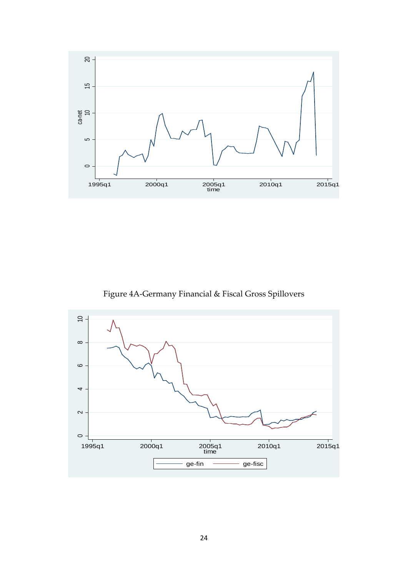

Figure 4A-Germany Financial & Fiscal Gross Spillovers

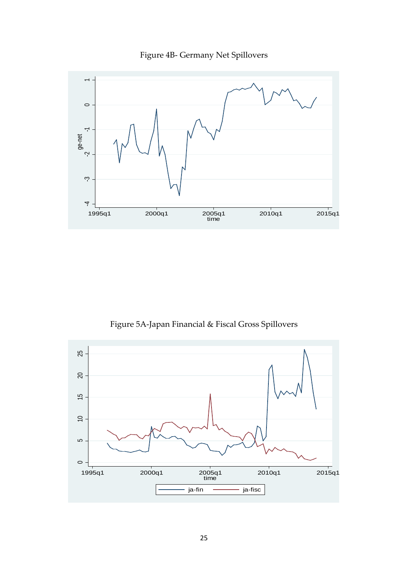



Figure 5A-Japan Financial & Fiscal Gross Spillovers

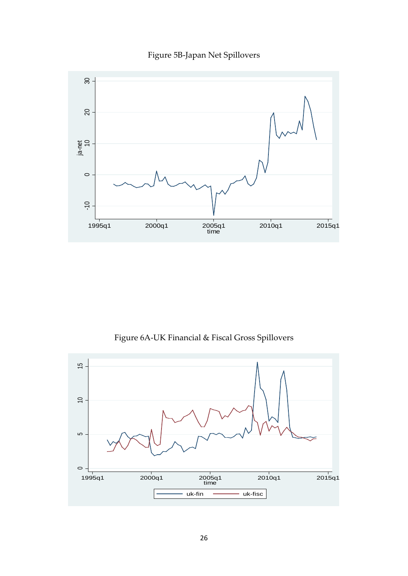### Figure 5B-Japan Net Spillovers



Figure 6A-UK Financial & Fiscal Gross Spillovers

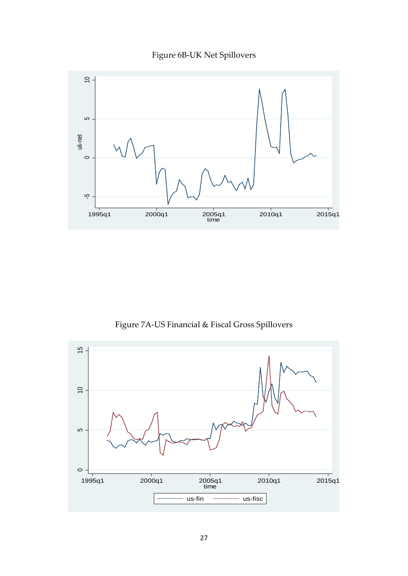



Figure 7A-US Financial & Fiscal Gross Spillovers

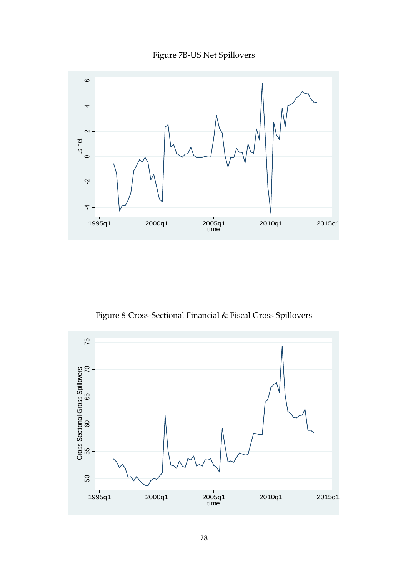

Figure 7B-US Net Spillovers

Figure 8-Cross-Sectional Financial & Fiscal Gross Spillovers